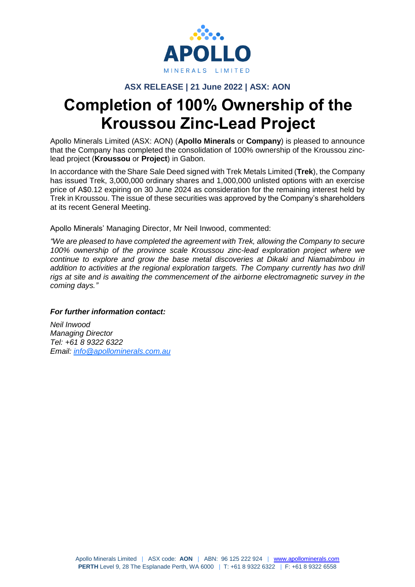

## **ASX RELEASE | 21 June 2022 | ASX: AON**

# **Completion of 100% Ownership of the Kroussou Zinc-Lead Project**

Apollo Minerals Limited (ASX: AON) (**Apollo Minerals** or **Company**) is pleased to announce that the Company has completed the consolidation of 100% ownership of the Kroussou zinclead project (**Kroussou** or **Project**) in Gabon.

In accordance with the Share Sale Deed signed with Trek Metals Limited (**Trek**), the Company has issued Trek, 3,000,000 ordinary shares and 1,000,000 unlisted options with an exercise price of A\$0.12 expiring on 30 June 2024 as consideration for the remaining interest held by Trek in Kroussou. The issue of these securities was approved by the Company's shareholders at its recent General Meeting.

Apollo Minerals' Managing Director, Mr Neil Inwood, commented:

*"We are pleased to have completed the agreement with Trek, allowing the Company to secure 100% ownership of the province scale Kroussou zinc-lead exploration project where we continue to explore and grow the base metal discoveries at Dikaki and Niamabimbou in addition to activities at the regional exploration targets. The Company currently has two drill rigs at site and is awaiting the commencement of the airborne electromagnetic survey in the coming days."* 

#### *For further information contact:*

*Neil Inwood Managing Director Tel: +61 8 9322 6322 Email: [info@apollominerals.com.au](mailto:info@apollominerals.com.au)*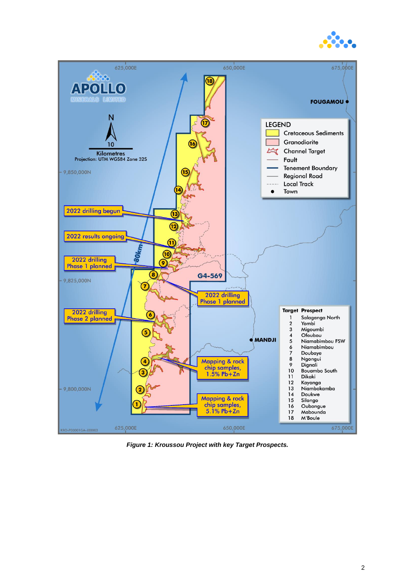



*Figure 1: Kroussou Project with key Target Prospects.*